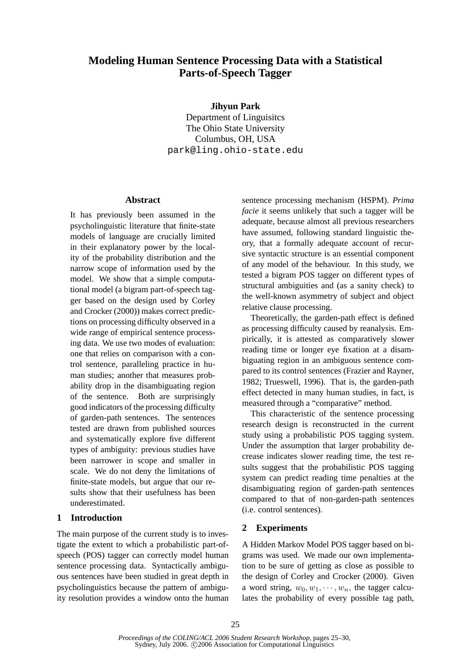# **Modeling Human Sentence Processing Data with a Statistical Parts-of-Speech Tagger**

**Jihyun Park**

Department of Linguisitcs The Ohio State University Columbus, OH, USA park@ling.ohio-state.edu

### **Abstract**

It has previously been assumed in the psycholinguistic literature that finite-state models of language are crucially limited in their explanatory power by the locality of the probability distribution and the narrow scope of information used by the model. We show that a simple computational model (a bigram part-of-speech tagger based on the design used by Corley and Crocker (2000)) makes correct predictions on processing difficulty observed in a wide range of empirical sentence processing data. We use two modes of evaluation: one that relies on comparison with a control sentence, paralleling practice in human studies; another that measures probability drop in the disambiguating region of the sentence. Both are surprisingly good indicators of the processing difficulty of garden-path sentences. The sentences tested are drawn from published sources and systematically explore five different types of ambiguity: previous studies have been narrower in scope and smaller in scale. We do not deny the limitations of finite-state models, but argue that our results show that their usefulness has been underestimated.

## **1 Introduction**

The main purpose of the current study is to investigate the extent to which a probabilistic part-ofspeech (POS) tagger can correctly model human sentence processing data. Syntactically ambiguous sentences have been studied in great depth in psycholinguistics because the pattern of ambiguity resolution provides a window onto the human

sentence processing mechanism (HSPM). *Prima facie* it seems unlikely that such a tagger will be adequate, because almost all previous researchers have assumed, following standard linguistic theory, that a formally adequate account of recursive syntactic structure is an essential component of any model of the behaviour. In this study, we tested a bigram POS tagger on different types of structural ambiguities and (as a sanity check) to the well-known asymmetry of subject and object relative clause processing.

Theoretically, the garden-path effect is defined as processing difficulty caused by reanalysis. Empirically, it is attested as comparatively slower reading time or longer eye fixation at a disambiguating region in an ambiguous sentence compared to its control sentences (Frazier and Rayner, 1982; Trueswell, 1996). That is, the garden-path effect detected in many human studies, in fact, is measured through a "comparative" method.

This characteristic of the sentence processing research design is reconstructed in the current study using a probabilistic POS tagging system. Under the assumption that larger probability decrease indicates slower reading time, the test results suggest that the probabilistic POS tagging system can predict reading time penalties at the disambiguating region of garden-path sentences compared to that of non-garden-path sentences (i.e. control sentences).

## **2 Experiments**

A Hidden Markov Model POS tagger based on bigrams was used. We made our own implementation to be sure of getting as close as possible to the design of Corley and Crocker (2000). Given a word string,  $w_0, w_1, \dots, w_n$ , the tagger calculates the probability of every possible tag path,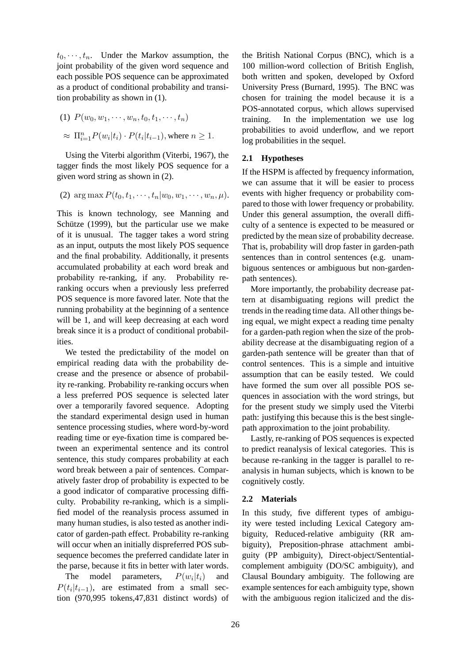$t_0, \dots, t_n$ . Under the Markov assumption, the joint probability of the given word sequence and each possible POS sequence can be approximated as a product of conditional probability and transition probability as shown in (1).

(1) 
$$
P(w_0, w_1, \dots, w_n, t_0, t_1, \dots, t_n)
$$

$$
\approx \Pi_{i=1}^n P(w_i|t_i) \cdot P(t_i|t_{i-1}), \text{where } n \ge 1.
$$

Using the Viterbi algorithm (Viterbi, 1967), the tagger finds the most likely POS sequence for a given word string as shown in (2).

(2) arg max 
$$
P(t_0, t_1, \dots, t_n | w_0, w_1, \dots, w_n, \mu)
$$
.

This is known technology, see Manning and Schütze  $(1999)$ , but the particular use we make of it is unusual. The tagger takes a word string as an input, outputs the most likely POS sequence and the final probability. Additionally, it presents accumulated probability at each word break and probability re-ranking, if any. Probability reranking occurs when a previously less preferred POS sequence is more favored later. Note that the running probability at the beginning of a sentence will be 1, and will keep decreasing at each word break since it is a product of conditional probabilities.

We tested the predictability of the model on empirical reading data with the probability decrease and the presence or absence of probability re-ranking. Probability re-ranking occurs when a less preferred POS sequence is selected later over a temporarily favored sequence. Adopting the standard experimental design used in human sentence processing studies, where word-by-word reading time or eye-fixation time is compared between an experimental sentence and its control sentence, this study compares probability at each word break between a pair of sentences. Comparatively faster drop of probability is expected to be a good indicator of comparative processing difficulty. Probability re-ranking, which is a simplified model of the reanalysis process assumed in many human studies, is also tested as another indicator of garden-path effect. Probability re-ranking will occur when an initially dispreferred POS subsequence becomes the preferred candidate later in the parse, because it fits in better with later words.

The model parameters,  $P(w_i|t_i)$  and  $P(t_i|t_{i-1})$ , are estimated from a small section (970,995 tokens,47,831 distinct words) of the British National Corpus (BNC), which is a 100 million-word collection of British English, both written and spoken, developed by Oxford University Press (Burnard, 1995). The BNC was chosen for training the model because it is a POS-annotated corpus, which allows supervised training. In the implementation we use log probabilities to avoid underflow, and we report log probabilities in the sequel.

### **2.1 Hypotheses**

If the HSPM is affected by frequency information, we can assume that it will be easier to process events with higher frequency or probability compared to those with lower frequency or probability. Under this general assumption, the overall difficulty of a sentence is expected to be measured or predicted by the mean size of probability decrease. That is, probability will drop faster in garden-path sentences than in control sentences (e.g. unambiguous sentences or ambiguous but non-gardenpath sentences).

More importantly, the probability decrease pattern at disambiguating regions will predict the trends in the reading time data. All other things being equal, we might expect a reading time penalty for a garden-path region when the size of the probability decrease at the disambiguating region of a garden-path sentence will be greater than that of control sentences. This is a simple and intuitive assumption that can be easily tested. We could have formed the sum over all possible POS sequences in association with the word strings, but for the present study we simply used the Viterbi path: justifying this because this is the best singlepath approximation to the joint probability.

Lastly, re-ranking of POS sequences is expected to predict reanalysis of lexical categories. This is because re-ranking in the tagger is parallel to reanalysis in human subjects, which is known to be cognitively costly.

## **2.2 Materials**

In this study, five different types of ambiguity were tested including Lexical Category ambiguity, Reduced-relative ambiguity (RR ambiguity), Preposition-phrase attachment ambiguity (PP ambiguity), Direct-object/Sententialcomplement ambiguity (DO/SC ambiguity), and Clausal Boundary ambiguity. The following are example sentences for each ambiguity type, shown with the ambiguous region italicized and the dis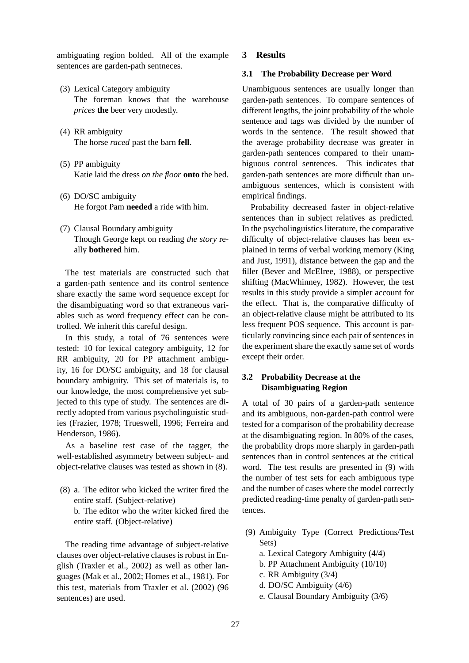ambiguating region bolded. All of the example sentences are garden-path sentneces.

- (3) Lexical Category ambiguity The foreman knows that the warehouse *prices* **the** beer very modestly.
- (4) RR ambiguity The horse *raced* past the barn **fell**.
- (5) PP ambiguity Katie laid the dress *on the floor* **onto** the bed.
- (6) DO/SC ambiguity He forgot Pam **needed** a ride with him.
- (7) Clausal Boundary ambiguity Though George kept on reading *the story* really **bothered** him.

The test materials are constructed such that a garden-path sentence and its control sentence share exactly the same word sequence except for the disambiguating word so that extraneous variables such as word frequency effect can be controlled. We inherit this careful design.

In this study, a total of 76 sentences were tested: 10 for lexical category ambiguity, 12 for RR ambiguity, 20 for PP attachment ambiguity, 16 for DO/SC ambiguity, and 18 for clausal boundary ambiguity. This set of materials is, to our knowledge, the most comprehensive yet subjected to this type of study. The sentences are directly adopted from various psycholinguistic studies (Frazier, 1978; Trueswell, 1996; Ferreira and Henderson, 1986).

As a baseline test case of the tagger, the well-established asymmetry between subject- and object-relative clauses was tested as shown in (8).

(8) a. The editor who kicked the writer fired the entire staff. (Subject-relative) b. The editor who the writer kicked fired the

entire staff. (Object-relative)

The reading time advantage of subject-relative clauses over object-relative clauses is robust in English (Traxler et al., 2002) as well as other languages (Mak et al., 2002; Homes et al., 1981). For this test, materials from Traxler et al. (2002) (96 sentences) are used.

#### **3 Results**

#### **3.1 The Probability Decrease per Word**

Unambiguous sentences are usually longer than garden-path sentences. To compare sentences of different lengths, the joint probability of the whole sentence and tags was divided by the number of words in the sentence. The result showed that the average probability decrease was greater in garden-path sentences compared to their unambiguous control sentences. This indicates that garden-path sentences are more difficult than unambiguous sentences, which is consistent with empirical findings.

Probability decreased faster in object-relative sentences than in subject relatives as predicted. In the psycholinguistics literature, the comparative difficulty of object-relative clauses has been explained in terms of verbal working memory (King and Just, 1991), distance between the gap and the filler (Bever and McElree, 1988), or perspective shifting (MacWhinney, 1982). However, the test results in this study provide a simpler account for the effect. That is, the comparative difficulty of an object-relative clause might be attributed to its less frequent POS sequence. This account is particularly convincing since each pair of sentences in the experiment share the exactly same set of words except their order.

## **3.2 Probability Decrease at the Disambiguating Region**

A total of 30 pairs of a garden-path sentence and its ambiguous, non-garden-path control were tested for a comparison of the probability decrease at the disambiguating region. In 80% of the cases, the probability drops more sharply in garden-path sentences than in control sentences at the critical word. The test results are presented in (9) with the number of test sets for each ambiguous type and the number of cases where the model correctly predicted reading-time penalty of garden-path sentences.

- (9) Ambiguity Type (Correct Predictions/Test Sets)
	- a. Lexical Category Ambiguity (4/4)
	- b. PP Attachment Ambiguity (10/10)
	- c. RR Ambiguity (3/4)
	- d. DO/SC Ambiguity (4/6)
	- e. Clausal Boundary Ambiguity (3/6)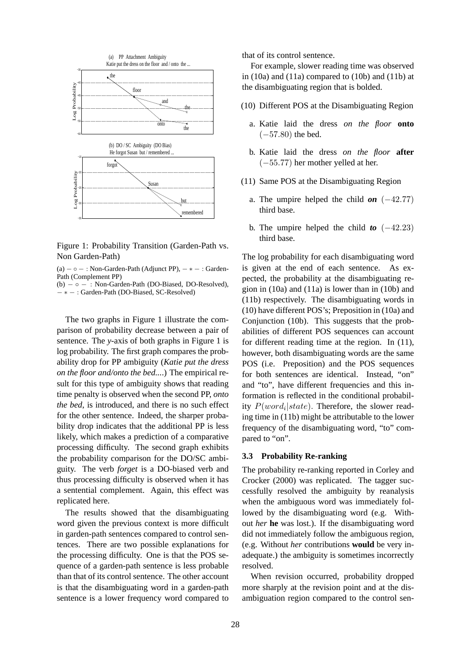

Figure 1: Probability Transition (Garden-Path vs. Non Garden-Path)

(a)  $- \circ -$ : Non-Garden-Path (Adjunct PP),  $- * -$ : Garden-Path (Complement PP)

 $(b) - \circ -$ : Non-Garden-Path (DO-Biased, DO-Resolved), − ∗ − : Garden-Path (DO-Biased, SC-Resolved)

The two graphs in Figure 1 illustrate the comparison of probability decrease between a pair of sentence. The *y*-axis of both graphs in Figure 1 is log probability. The first graph compares the probability drop for PP ambiguity (*Katie put the dress on the floor and/onto the bed...*.) The empirical result for this type of ambiguity shows that reading time penalty is observed when the second PP, *onto the bed*, is introduced, and there is no such effect for the other sentence. Indeed, the sharper probability drop indicates that the additional PP is less likely, which makes a prediction of a comparative processing difficulty. The second graph exhibits the probability comparison for the DO/SC ambiguity. The verb *forget* is a DO-biased verb and thus processing difficulty is observed when it has a sentential complement. Again, this effect was replicated here.

The results showed that the disambiguating word given the previous context is more difficult in garden-path sentences compared to control sentences. There are two possible explanations for the processing difficulty. One is that the POS sequence of a garden-path sentence is less probable than that of its control sentence. The other account is that the disambiguating word in a garden-path sentence is a lower frequency word compared to that of its control sentence.

For example, slower reading time was observed in  $(10a)$  and  $(11a)$  compared to  $(10b)$  and  $(11b)$  at the disambiguating region that is bolded.

- (10) Different POS at the Disambiguating Region
	- a. Katie laid the dress *on the floor* **onto**  $(-57.80)$  the bed.
	- b. Katie laid the dress *on the floor* **after** (−55.77) her mother yelled at her.
- (11) Same POS at the Disambiguating Region
	- a. The umpire helped the child  $\mathbf{on}$  ( $-42.77$ ) third base.
	- b. The umpire helped the child **to**  $(-42.23)$ third base.

The log probability for each disambiguating word is given at the end of each sentence. As expected, the probability at the disambiguating region in (10a) and (11a) is lower than in (10b) and (11b) respectively. The disambiguating words in (10) have different POS's; Preposition in (10a) and Conjunction (10b). This suggests that the probabilities of different POS sequences can account for different reading time at the region. In (11), however, both disambiguating words are the same POS (i.e. Preposition) and the POS sequences for both sentences are identical. Instead, "on" and "to", have different frequencies and this information is reflected in the conditional probability  $P(word_i|state)$ . Therefore, the slower reading time in (11b) might be attributable to the lower frequency of the disambiguating word, "to" compared to "on".

#### **3.3 Probability Re-ranking**

The probability re-ranking reported in Corley and Crocker (2000) was replicated. The tagger successfully resolved the ambiguity by reanalysis when the ambiguous word was immediately followed by the disambiguating word (e.g. Without *her* **he** was lost.). If the disambiguating word did not immediately follow the ambiguous region, (e.g. Without *her* contributions **would** be very inadequate.) the ambiguity is sometimes incorrectly resolved.

When revision occurred, probability dropped more sharply at the revision point and at the disambiguation region compared to the control sen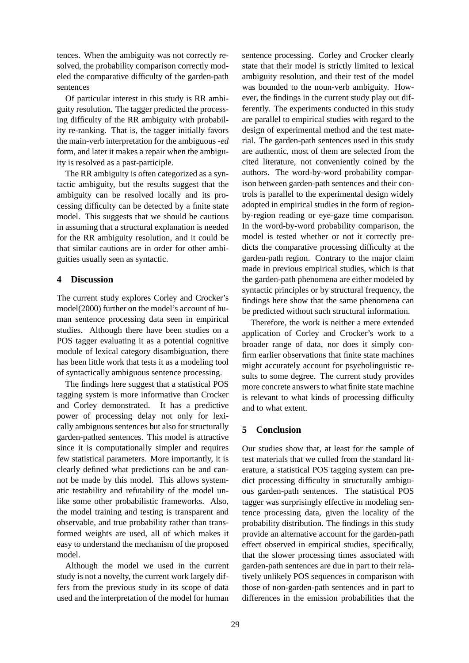tences. When the ambiguity was not correctly resolved, the probability comparison correctly modeled the comparative difficulty of the garden-path sentences

Of particular interest in this study is RR ambiguity resolution. The tagger predicted the processing difficulty of the RR ambiguity with probability re-ranking. That is, the tagger initially favors the main-verb interpretation for the ambiguous *-ed* form, and later it makes a repair when the ambiguity is resolved as a past-participle.

The RR ambiguity is often categorized as a syntactic ambiguity, but the results suggest that the ambiguity can be resolved locally and its processing difficulty can be detected by a finite state model. This suggests that we should be cautious in assuming that a structural explanation is needed for the RR ambiguity resolution, and it could be that similar cautions are in order for other ambiguities usually seen as syntactic.

## **4 Discussion**

The current study explores Corley and Crocker's model(2000) further on the model's account of human sentence processing data seen in empirical studies. Although there have been studies on a POS tagger evaluating it as a potential cognitive module of lexical category disambiguation, there has been little work that tests it as a modeling tool of syntactically ambiguous sentence processing.

The findings here suggest that a statistical POS tagging system is more informative than Crocker and Corley demonstrated. It has a predictive power of processing delay not only for lexically ambiguous sentences but also for structurally garden-pathed sentences. This model is attractive since it is computationally simpler and requires few statistical parameters. More importantly, it is clearly defined what predictions can be and cannot be made by this model. This allows systematic testability and refutability of the model unlike some other probabilistic frameworks. Also, the model training and testing is transparent and observable, and true probability rather than transformed weights are used, all of which makes it easy to understand the mechanism of the proposed model.

Although the model we used in the current study is not a novelty, the current work largely differs from the previous study in its scope of data used and the interpretation of the model for human sentence processing. Corley and Crocker clearly state that their model is strictly limited to lexical ambiguity resolution, and their test of the model was bounded to the noun-verb ambiguity. However, the findings in the current study play out differently. The experiments conducted in this study are parallel to empirical studies with regard to the design of experimental method and the test material. The garden-path sentences used in this study are authentic, most of them are selected from the cited literature, not conveniently coined by the authors. The word-by-word probability comparison between garden-path sentences and their controls is parallel to the experimental design widely adopted in empirical studies in the form of regionby-region reading or eye-gaze time comparison. In the word-by-word probability comparison, the model is tested whether or not it correctly predicts the comparative processing difficulty at the garden-path region. Contrary to the major claim made in previous empirical studies, which is that the garden-path phenomena are either modeled by syntactic principles or by structural frequency, the findings here show that the same phenomena can be predicted without such structural information.

Therefore, the work is neither a mere extended application of Corley and Crocker's work to a broader range of data, nor does it simply confirm earlier observations that finite state machines might accurately account for psycholinguistic results to some degree. The current study provides more concrete answers to what finite state machine is relevant to what kinds of processing difficulty and to what extent.

## **5 Conclusion**

Our studies show that, at least for the sample of test materials that we culled from the standard literature, a statistical POS tagging system can predict processing difficulty in structurally ambiguous garden-path sentences. The statistical POS tagger was surprisingly effective in modeling sentence processing data, given the locality of the probability distribution. The findings in this study provide an alternative account for the garden-path effect observed in empirical studies, specifically, that the slower processing times associated with garden-path sentences are due in part to their relatively unlikely POS sequences in comparison with those of non-garden-path sentences and in part to differences in the emission probabilities that the